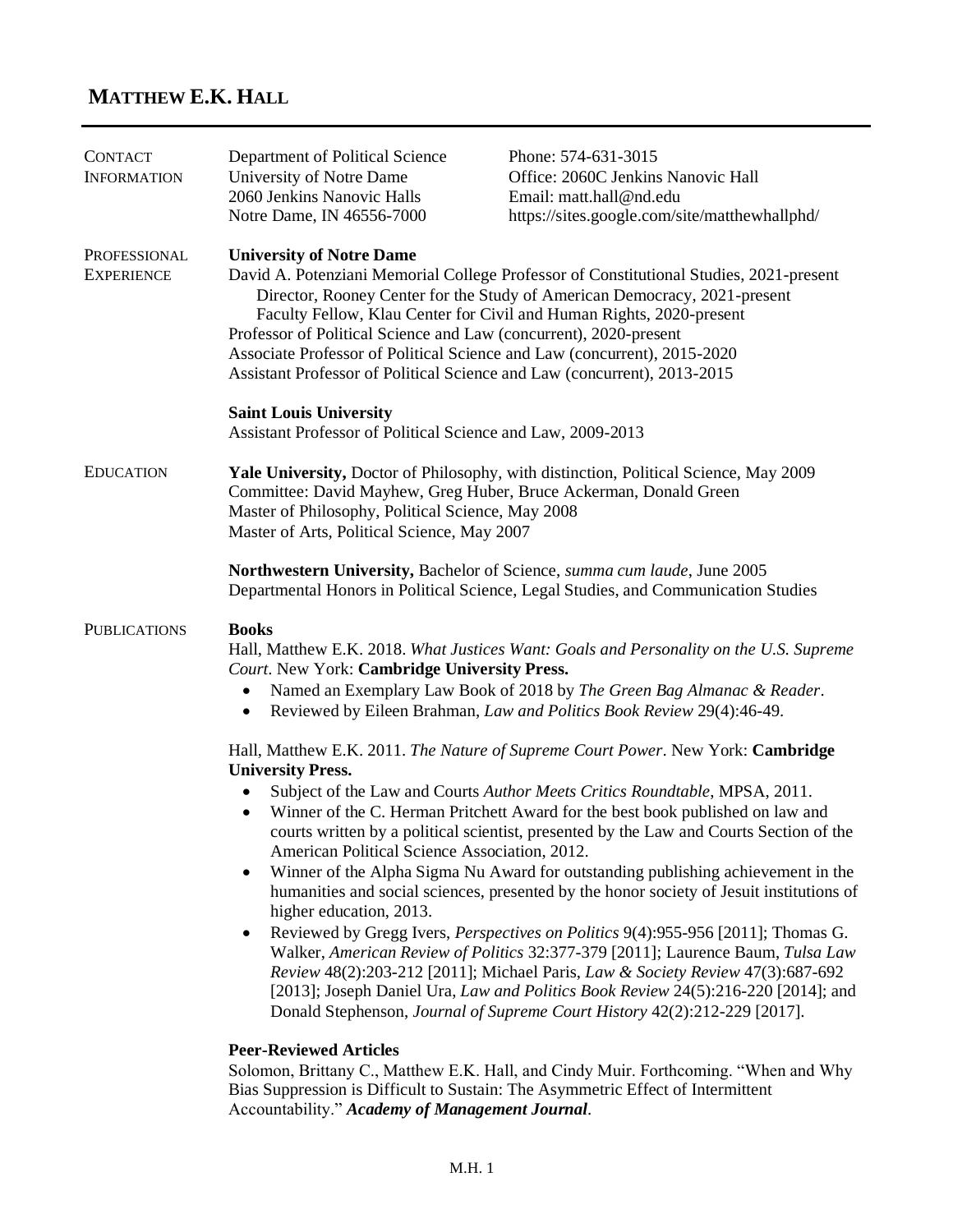# **MATTHEW E.K. HALL**

| <b>CONTACT</b><br><b>INFORMATION</b> | Department of Political Science<br>University of Notre Dame<br>2060 Jenkins Nanovic Halls<br>Notre Dame, IN 46556-7000                                                                                                                                                                                                                                                                                                                                                                                                                                                                                                                                                                                                                                                                                                                                                                                                                                                                                                                                        | Phone: 574-631-3015<br>Office: 2060C Jenkins Nanovic Hall<br>Email: matt.hall@nd.edu<br>https://sites.google.com/site/matthewhallphd/ |  |
|--------------------------------------|---------------------------------------------------------------------------------------------------------------------------------------------------------------------------------------------------------------------------------------------------------------------------------------------------------------------------------------------------------------------------------------------------------------------------------------------------------------------------------------------------------------------------------------------------------------------------------------------------------------------------------------------------------------------------------------------------------------------------------------------------------------------------------------------------------------------------------------------------------------------------------------------------------------------------------------------------------------------------------------------------------------------------------------------------------------|---------------------------------------------------------------------------------------------------------------------------------------|--|
| PROFESSIONAL<br><b>EXPERIENCE</b>    | <b>University of Notre Dame</b><br>David A. Potenziani Memorial College Professor of Constitutional Studies, 2021-present<br>Director, Rooney Center for the Study of American Democracy, 2021-present<br>Faculty Fellow, Klau Center for Civil and Human Rights, 2020-present<br>Professor of Political Science and Law (concurrent), 2020-present<br>Associate Professor of Political Science and Law (concurrent), 2015-2020<br>Assistant Professor of Political Science and Law (concurrent), 2013-2015                                                                                                                                                                                                                                                                                                                                                                                                                                                                                                                                                   |                                                                                                                                       |  |
|                                      | <b>Saint Louis University</b><br>Assistant Professor of Political Science and Law, 2009-2013                                                                                                                                                                                                                                                                                                                                                                                                                                                                                                                                                                                                                                                                                                                                                                                                                                                                                                                                                                  |                                                                                                                                       |  |
| <b>EDUCATION</b>                     | Yale University, Doctor of Philosophy, with distinction, Political Science, May 2009<br>Committee: David Mayhew, Greg Huber, Bruce Ackerman, Donald Green<br>Master of Philosophy, Political Science, May 2008<br>Master of Arts, Political Science, May 2007                                                                                                                                                                                                                                                                                                                                                                                                                                                                                                                                                                                                                                                                                                                                                                                                 |                                                                                                                                       |  |
|                                      | Northwestern University, Bachelor of Science, summa cum laude, June 2005<br>Departmental Honors in Political Science, Legal Studies, and Communication Studies                                                                                                                                                                                                                                                                                                                                                                                                                                                                                                                                                                                                                                                                                                                                                                                                                                                                                                |                                                                                                                                       |  |
| <b>PUBLICATIONS</b>                  | <b>Books</b><br>Hall, Matthew E.K. 2018. What Justices Want: Goals and Personality on the U.S. Supreme<br>Court. New York: Cambridge University Press.<br>Named an Exemplary Law Book of 2018 by The Green Bag Almanac & Reader.<br>$\bullet$<br>Reviewed by Eileen Brahman, Law and Politics Book Review 29(4):46-49.<br>$\bullet$                                                                                                                                                                                                                                                                                                                                                                                                                                                                                                                                                                                                                                                                                                                           |                                                                                                                                       |  |
|                                      | Hall, Matthew E.K. 2011. The Nature of Supreme Court Power. New York: Cambridge<br><b>University Press.</b><br>Subject of the Law and Courts Author Meets Critics Roundtable, MPSA, 2011.<br>Winner of the C. Herman Pritchett Award for the best book published on law and<br>courts written by a political scientist, presented by the Law and Courts Section of the<br>American Political Science Association, 2012.<br>Winner of the Alpha Sigma Nu Award for outstanding publishing achievement in the<br>humanities and social sciences, presented by the honor society of Jesuit institutions of<br>higher education, 2013.<br>Reviewed by Gregg Ivers, Perspectives on Politics 9(4):955-956 [2011]; Thomas G.<br>Walker, American Review of Politics 32:377-379 [2011]; Laurence Baum, Tulsa Law<br>Review 48(2):203-212 [2011]; Michael Paris, Law & Society Review 47(3):687-692<br>[2013]; Joseph Daniel Ura, Law and Politics Book Review 24(5):216-220 [2014]; and<br>Donald Stephenson, Journal of Supreme Court History 42(2):212-229 [2017]. |                                                                                                                                       |  |
|                                      | <b>Peer-Reviewed Articles</b><br>Solomon, Brittany C., Matthew E.K. Hall, and Cindy Muir. Forthcoming. "When and Why<br>Bias Suppression is Difficult to Sustain: The Asymmetric Effect of Intermittent<br>Accountability." Academy of Management Journal.                                                                                                                                                                                                                                                                                                                                                                                                                                                                                                                                                                                                                                                                                                                                                                                                    |                                                                                                                                       |  |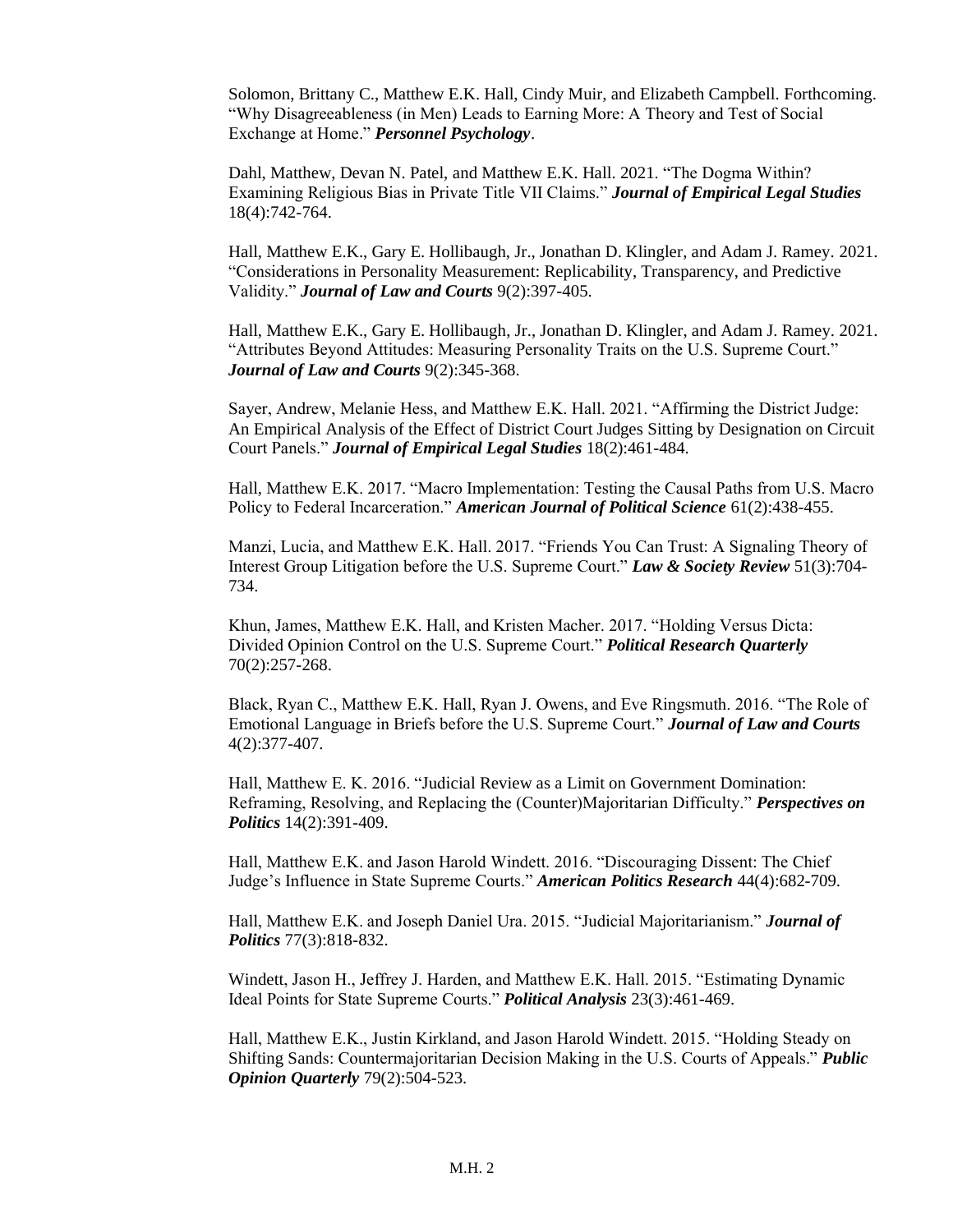Solomon, Brittany C., Matthew E.K. Hall, Cindy Muir, and Elizabeth Campbell. Forthcoming. "Why Disagreeableness (in Men) Leads to Earning More: A Theory and Test of Social Exchange at Home." *Personnel Psychology*.

Dahl, Matthew, Devan N. Patel, and Matthew E.K. Hall. 2021. "The Dogma Within? Examining Religious Bias in Private Title VII Claims." *Journal of Empirical Legal Studies* 18(4):742-764.

Hall, Matthew E.K., Gary E. Hollibaugh, Jr., Jonathan D. Klingler, and Adam J. Ramey. 2021. "Considerations in Personality Measurement: Replicability, Transparency, and Predictive Validity." *Journal of Law and Courts* 9(2):397-405.

Hall, Matthew E.K., Gary E. Hollibaugh, Jr., Jonathan D. Klingler, and Adam J. Ramey. 2021. "Attributes Beyond Attitudes: Measuring Personality Traits on the U.S. Supreme Court." *Journal of Law and Courts* 9(2):345-368.

Sayer, Andrew, Melanie Hess, and Matthew E.K. Hall. 2021. "Affirming the District Judge: An Empirical Analysis of the Effect of District Court Judges Sitting by Designation on Circuit Court Panels." *Journal of Empirical Legal Studies* 18(2):461-484.

Hall, Matthew E.K. 2017. "Macro Implementation: Testing the Causal Paths from U.S. Macro Policy to Federal Incarceration." *American Journal of Political Science* 61(2):438-455.

Manzi, Lucia, and Matthew E.K. Hall. 2017. "Friends You Can Trust: A Signaling Theory of Interest Group Litigation before the U.S. Supreme Court." *Law & Society Review* 51(3):704- 734.

Khun, James, Matthew E.K. Hall, and Kristen Macher. 2017. "Holding Versus Dicta: Divided Opinion Control on the U.S. Supreme Court." *Political Research Quarterly* 70(2):257-268.

Black, Ryan C., Matthew E.K. Hall, Ryan J. Owens, and Eve Ringsmuth. 2016. "The Role of Emotional Language in Briefs before the U.S. Supreme Court." *Journal of Law and Courts* 4(2):377-407.

Hall, Matthew E. K. 2016. "Judicial Review as a Limit on Government Domination: Reframing, Resolving, and Replacing the (Counter)Majoritarian Difficulty." *Perspectives on Politics* 14(2):391-409.

Hall, Matthew E.K. and Jason Harold Windett. 2016. "Discouraging Dissent: The Chief Judge's Influence in State Supreme Courts." *American Politics Research* 44(4):682-709.

Hall, Matthew E.K. and Joseph Daniel Ura. 2015. "Judicial Majoritarianism." *Journal of Politics* 77(3):818-832.

Windett, Jason H., Jeffrey J. Harden, and Matthew E.K. Hall. 2015. "Estimating Dynamic Ideal Points for State Supreme Courts." *Political Analysis* 23(3):461-469.

Hall, Matthew E.K., Justin Kirkland, and Jason Harold Windett. 2015. "Holding Steady on Shifting Sands: Countermajoritarian Decision Making in the U.S. Courts of Appeals." *Public Opinion Quarterly* 79(2):504-523.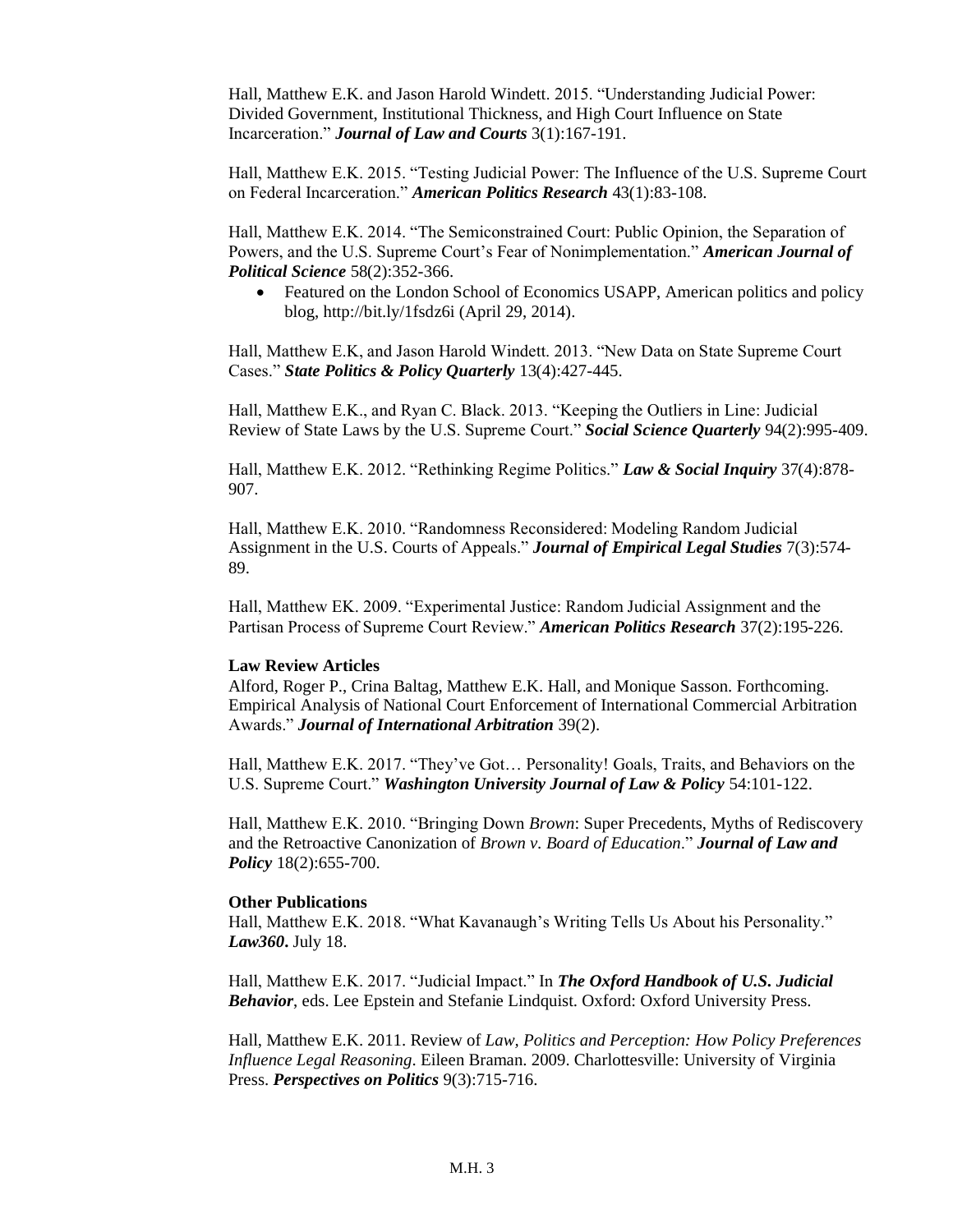Hall, Matthew E.K. and Jason Harold Windett. 2015. "Understanding Judicial Power: Divided Government, Institutional Thickness, and High Court Influence on State Incarceration." *Journal of Law and Courts* 3(1):167-191.

Hall, Matthew E.K. 2015. "Testing Judicial Power: The Influence of the U.S. Supreme Court on Federal Incarceration." *American Politics Research* 43(1):83-108.

Hall, Matthew E.K. 2014. "The Semiconstrained Court: Public Opinion, the Separation of Powers, and the U.S. Supreme Court's Fear of Nonimplementation." *American Journal of Political Science* 58(2):352-366.

• Featured on the London School of Economics USAPP, American politics and policy blog, <http://bit.ly/1fsdz6i> (April 29, 2014).

Hall, Matthew E.K, and Jason Harold Windett. 2013. "New Data on State Supreme Court Cases." *State Politics & Policy Quarterly* 13(4):427-445.

Hall, Matthew E.K., and Ryan C. Black. 2013. "Keeping the Outliers in Line: Judicial Review of State Laws by the U.S. Supreme Court." *Social Science Quarterly* 94(2):995-409.

Hall, Matthew E.K. 2012. "Rethinking Regime Politics." *Law & Social Inquiry* 37(4):878- 907.

Hall, Matthew E.K. 2010. "Randomness Reconsidered: Modeling Random Judicial Assignment in the U.S. Courts of Appeals." *Journal of Empirical Legal Studies* 7(3):574- 89.

Hall, Matthew EK. 2009. "Experimental Justice: Random Judicial Assignment and the Partisan Process of Supreme Court Review." *American Politics Research* 37(2):195-226.

#### **Law Review Articles**

Alford, Roger P., Crina Baltag, Matthew E.K. Hall, and Monique Sasson. Forthcoming. Empirical Analysis of National Court Enforcement of International Commercial Arbitration Awards." *Journal of International Arbitration* 39(2).

Hall, Matthew E.K. 2017. "They've Got… Personality! Goals, Traits, and Behaviors on the U.S. Supreme Court." *Washington University Journal of Law & Policy* 54:101-122.

Hall, Matthew E.K. 2010. "Bringing Down *Brown*: Super Precedents, Myths of Rediscovery and the Retroactive Canonization of *Brown v. Board of Education*." *Journal of Law and Policy* 18(2):655-700.

#### **Other Publications**

Hall, Matthew E.K. 2018. "What Kavanaugh's Writing Tells Us About his Personality." *Law360***.** July 18.

Hall, Matthew E.K. 2017. "Judicial Impact." In *The Oxford Handbook of U.S. Judicial Behavior*, eds. Lee Epstein and Stefanie Lindquist. Oxford: Oxford University Press.

Hall, Matthew E.K. 2011. Review of *Law, Politics and Perception: How Policy Preferences Influence Legal Reasoning*. Eileen Braman. 2009. Charlottesville: University of Virginia Press. *Perspectives on Politics* 9(3):715-716.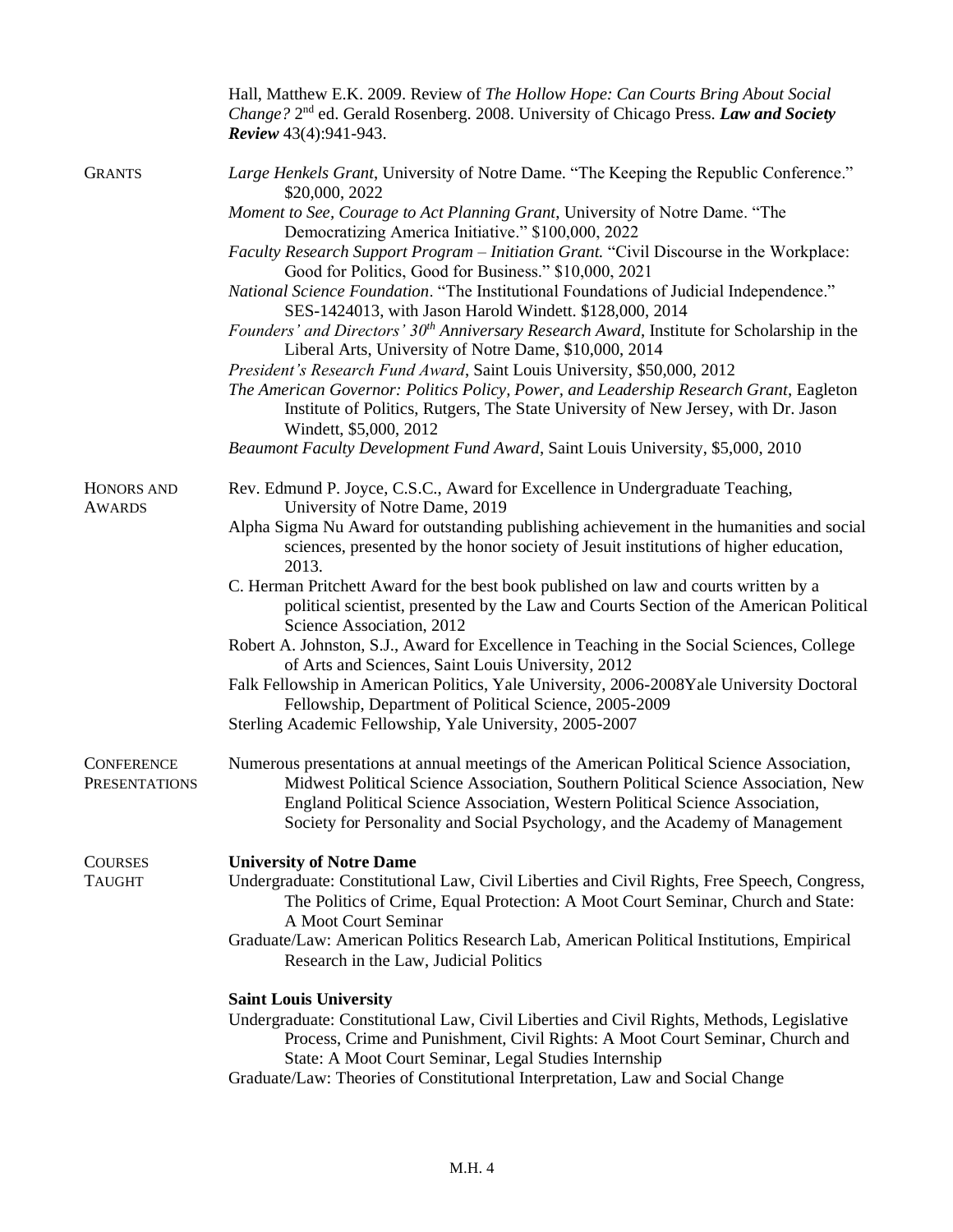|                                           | Hall, Matthew E.K. 2009. Review of The Hollow Hope: Can Courts Bring About Social<br>Change? 2 <sup>nd</sup> ed. Gerald Rosenberg. 2008. University of Chicago Press. Law and Society<br><b>Review</b> 43(4):941-943.                                                                                                                           |  |
|-------------------------------------------|-------------------------------------------------------------------------------------------------------------------------------------------------------------------------------------------------------------------------------------------------------------------------------------------------------------------------------------------------|--|
| <b>GRANTS</b>                             | Large Henkels Grant, University of Notre Dame. "The Keeping the Republic Conference."<br>\$20,000, 2022                                                                                                                                                                                                                                         |  |
|                                           | Moment to See, Courage to Act Planning Grant, University of Notre Dame. "The<br>Democratizing America Initiative." \$100,000, 2022                                                                                                                                                                                                              |  |
|                                           | Faculty Research Support Program - Initiation Grant. "Civil Discourse in the Workplace:<br>Good for Politics, Good for Business." \$10,000, 2021                                                                                                                                                                                                |  |
|                                           | National Science Foundation. "The Institutional Foundations of Judicial Independence."<br>SES-1424013, with Jason Harold Windett. \$128,000, 2014                                                                                                                                                                                               |  |
|                                           | Founders' and Directors' 30 <sup>th</sup> Anniversary Research Award, Institute for Scholarship in the<br>Liberal Arts, University of Notre Dame, \$10,000, 2014                                                                                                                                                                                |  |
|                                           | President's Research Fund Award, Saint Louis University, \$50,000, 2012<br>The American Governor: Politics Policy, Power, and Leadership Research Grant, Eagleton<br>Institute of Politics, Rutgers, The State University of New Jersey, with Dr. Jason<br>Windett, \$5,000, 2012                                                               |  |
|                                           | Beaumont Faculty Development Fund Award, Saint Louis University, \$5,000, 2010                                                                                                                                                                                                                                                                  |  |
| HONORS AND<br><b>AWARDS</b>               | Rev. Edmund P. Joyce, C.S.C., Award for Excellence in Undergraduate Teaching,<br>University of Notre Dame, 2019                                                                                                                                                                                                                                 |  |
|                                           | Alpha Sigma Nu Award for outstanding publishing achievement in the humanities and social<br>sciences, presented by the honor society of Jesuit institutions of higher education,<br>2013.                                                                                                                                                       |  |
|                                           | C. Herman Pritchett Award for the best book published on law and courts written by a<br>political scientist, presented by the Law and Courts Section of the American Political<br>Science Association, 2012                                                                                                                                     |  |
|                                           | Robert A. Johnston, S.J., Award for Excellence in Teaching in the Social Sciences, College<br>of Arts and Sciences, Saint Louis University, 2012                                                                                                                                                                                                |  |
|                                           | Falk Fellowship in American Politics, Yale University, 2006-2008 Yale University Doctoral<br>Fellowship, Department of Political Science, 2005-2009                                                                                                                                                                                             |  |
|                                           | Sterling Academic Fellowship, Yale University, 2005-2007                                                                                                                                                                                                                                                                                        |  |
| <b>CONFERENCE</b><br><b>PRESENTATIONS</b> | Numerous presentations at annual meetings of the American Political Science Association,<br>Midwest Political Science Association, Southern Political Science Association, New<br>England Political Science Association, Western Political Science Association,<br>Society for Personality and Social Psychology, and the Academy of Management |  |
| <b>COURSES</b>                            | <b>University of Notre Dame</b>                                                                                                                                                                                                                                                                                                                 |  |
| <b>TAUGHT</b>                             | Undergraduate: Constitutional Law, Civil Liberties and Civil Rights, Free Speech, Congress,<br>The Politics of Crime, Equal Protection: A Moot Court Seminar, Church and State:<br>A Moot Court Seminar                                                                                                                                         |  |
|                                           | Graduate/Law: American Politics Research Lab, American Political Institutions, Empirical<br>Research in the Law, Judicial Politics                                                                                                                                                                                                              |  |
|                                           | <b>Saint Louis University</b>                                                                                                                                                                                                                                                                                                                   |  |
|                                           | Undergraduate: Constitutional Law, Civil Liberties and Civil Rights, Methods, Legislative<br>Process, Crime and Punishment, Civil Rights: A Moot Court Seminar, Church and<br>State: A Moot Court Seminar, Legal Studies Internship                                                                                                             |  |
|                                           | Graduate/Law: Theories of Constitutional Interpretation, Law and Social Change                                                                                                                                                                                                                                                                  |  |